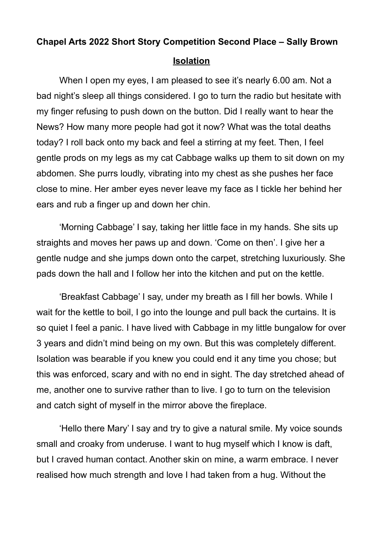## **Chapel Arts 2022 Short Story Competition Second Place – Sally Brown Isolation**

When I open my eyes, I am pleased to see it's nearly 6.00 am. Not a bad night's sleep all things considered. I go to turn the radio but hesitate with my finger refusing to push down on the button. Did I really want to hear the News? How many more people had got it now? What was the total deaths today? I roll back onto my back and feel a stirring at my feet. Then, I feel gentle prods on my legs as my cat Cabbage walks up them to sit down on my abdomen. She purrs loudly, vibrating into my chest as she pushes her face close to mine. Her amber eyes never leave my face as I tickle her behind her ears and rub a finger up and down her chin.

'Morning Cabbage' I say, taking her little face in my hands. She sits up straights and moves her paws up and down. 'Come on then'. I give her a gentle nudge and she jumps down onto the carpet, stretching luxuriously. She pads down the hall and I follow her into the kitchen and put on the kettle.

'Breakfast Cabbage' I say, under my breath as I fill her bowls. While I wait for the kettle to boil, I go into the lounge and pull back the curtains. It is so quiet I feel a panic. I have lived with Cabbage in my little bungalow for over 3 years and didn't mind being on my own. But this was completely different. Isolation was bearable if you knew you could end it any time you chose; but this was enforced, scary and with no end in sight. The day stretched ahead of me, another one to survive rather than to live. I go to turn on the television and catch sight of myself in the mirror above the fireplace.

'Hello there Mary' I say and try to give a natural smile. My voice sounds small and croaky from underuse. I want to hug myself which I know is daft, but I craved human contact. Another skin on mine, a warm embrace. I never realised how much strength and love I had taken from a hug. Without the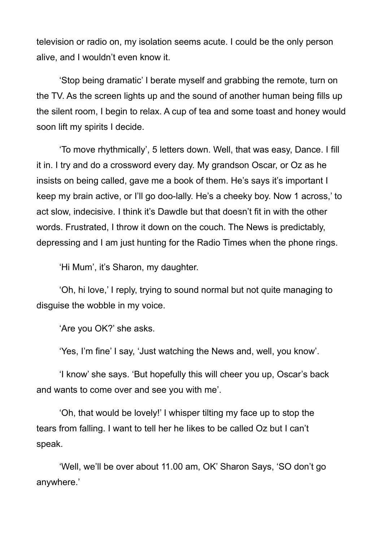television or radio on, my isolation seems acute. I could be the only person alive, and I wouldn't even know it.

'Stop being dramatic' I berate myself and grabbing the remote, turn on the TV. As the screen lights up and the sound of another human being fills up the silent room, I begin to relax. A cup of tea and some toast and honey would soon lift my spirits I decide.

'To move rhythmically', 5 letters down. Well, that was easy, Dance. I fill it in. I try and do a crossword every day. My grandson Oscar, or Oz as he insists on being called, gave me a book of them. He's says it's important I keep my brain active, or I'll go doo-lally. He's a cheeky boy. Now 1 across,' to act slow, indecisive. I think it's Dawdle but that doesn't fit in with the other words. Frustrated, I throw it down on the couch. The News is predictably, depressing and I am just hunting for the Radio Times when the phone rings.

'Hi Mum', it's Sharon, my daughter.

'Oh, hi love,' I reply, trying to sound normal but not quite managing to disguise the wobble in my voice.

'Are you OK?' she asks.

'Yes, I'm fine' I say, 'Just watching the News and, well, you know'.

'I know' she says. 'But hopefully this will cheer you up, Oscar's back and wants to come over and see you with me'.

'Oh, that would be lovely!' I whisper tilting my face up to stop the tears from falling. I want to tell her he Iikes to be called Oz but I can't speak.

'Well, we'll be over about 11.00 am, OK' Sharon Says, 'SO don't go anywhere.'